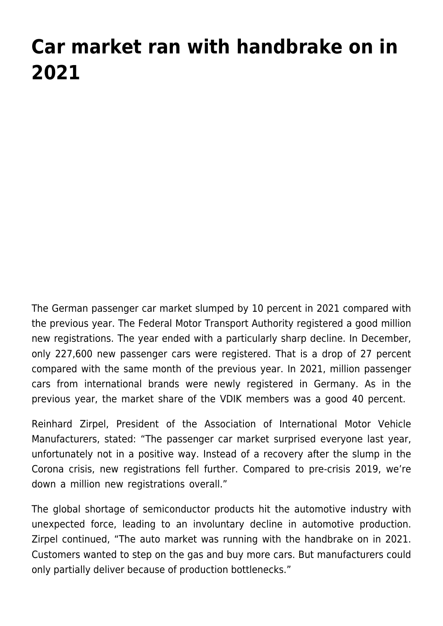## **[Car market ran with handbrake on in](https://www.vdik.de/en/2022/car-market-ran-with-handbrake-on-in-2021/) [2021](https://www.vdik.de/en/2022/car-market-ran-with-handbrake-on-in-2021/)**

The German passenger car market slumped by 10 percent in 2021 compared with the previous year. The Federal Motor Transport Authority registered a good million new registrations. The year ended with a particularly sharp decline. In December, only 227,600 new passenger cars were registered. That is a drop of 27 percent compared with the same month of the previous year. In 2021, million passenger cars from international brands were newly registered in Germany. As in the previous year, the market share of the VDIK members was a good 40 percent.

Reinhard Zirpel, President of the Association of International Motor Vehicle Manufacturers, stated: "The passenger car market surprised everyone last year, unfortunately not in a positive way. Instead of a recovery after the slump in the Corona crisis, new registrations fell further. Compared to pre-crisis 2019, we're down a million new registrations overall."

The global shortage of semiconductor products hit the automotive industry with unexpected force, leading to an involuntary decline in automotive production. Zirpel continued, "The auto market was running with the handbrake on in 2021. Customers wanted to step on the gas and buy more cars. But manufacturers could only partially deliver because of production bottlenecks."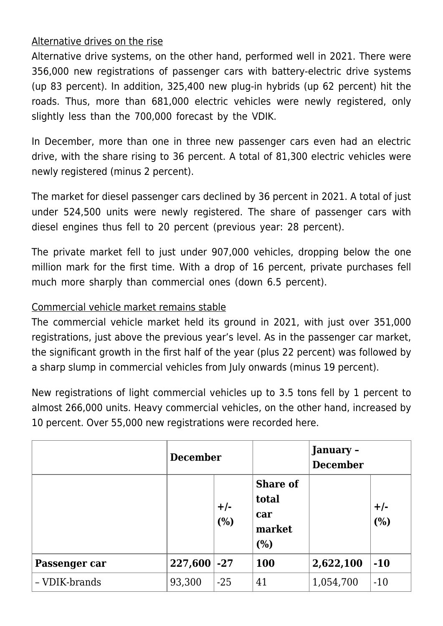## Alternative drives on the rise

Alternative drive systems, on the other hand, performed well in 2021. There were 356,000 new registrations of passenger cars with battery-electric drive systems (up 83 percent). In addition, 325,400 new plug-in hybrids (up 62 percent) hit the roads. Thus, more than 681,000 electric vehicles were newly registered, only slightly less than the 700,000 forecast by the VDIK.

In December, more than one in three new passenger cars even had an electric drive, with the share rising to 36 percent. A total of 81,300 electric vehicles were newly registered (minus 2 percent).

The market for diesel passenger cars declined by 36 percent in 2021. A total of just under 524,500 units were newly registered. The share of passenger cars with diesel engines thus fell to 20 percent (previous year: 28 percent).

The private market fell to just under 907,000 vehicles, dropping below the one million mark for the first time. With a drop of 16 percent, private purchases fell much more sharply than commercial ones (down 6.5 percent).

## Commercial vehicle market remains stable

The commercial vehicle market held its ground in 2021, with just over 351,000 registrations, just above the previous year's level. As in the passenger car market, the significant growth in the first half of the year (plus 22 percent) was followed by a sharp slump in commercial vehicles from July onwards (minus 19 percent).

New registrations of light commercial vehicles up to 3.5 tons fell by 1 percent to almost 266,000 units. Heavy commercial vehicles, on the other hand, increased by 10 percent. Over 55,000 new registrations were recorded here.

|               | <b>December</b> |              |                                                  | January -<br><b>December</b> |              |
|---------------|-----------------|--------------|--------------------------------------------------|------------------------------|--------------|
|               |                 | $+/-$<br>(%) | <b>Share of</b><br>total<br>car<br>market<br>(%) |                              | $+/-$<br>(%) |
| Passenger car | $227,600$ -27   |              | <b>100</b>                                       | 2,622,100                    | $-10$        |
| - VDIK-brands | 93,300          | $-25$        | 41                                               | 1,054,700                    | $-10$        |